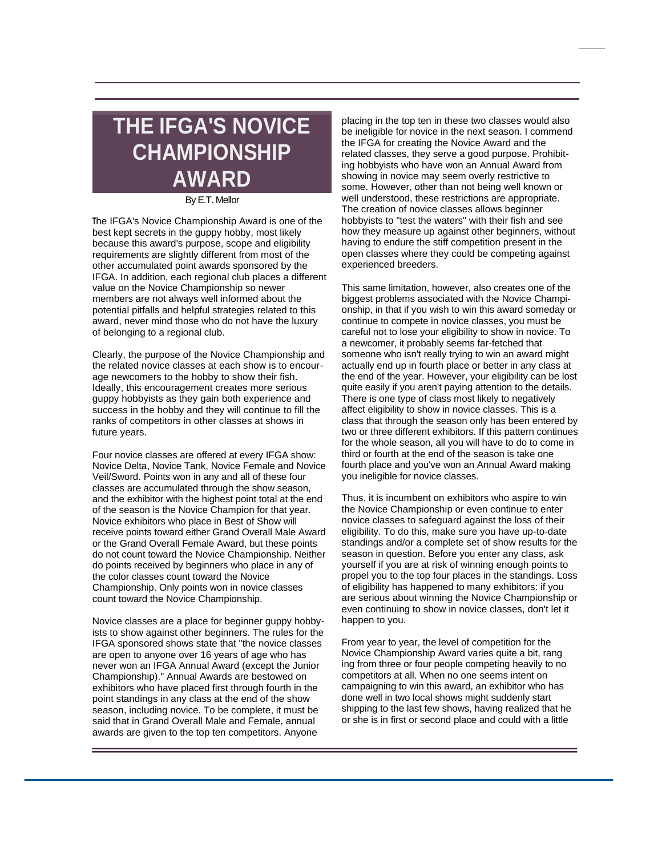## **THE IFGA'S NOVICE CHAMPIONSHIP AWARD**

## By E.T. Mellor

**<sup>T</sup>**he IFGA's Novice Championship Award is one of the best kept secrets in the guppy hobby, most likely because this award's purpose, scope and eligibility requirements are slightly different from most of the other accumulated point awards sponsored by the IFGA. In addition, each regional club places a different value on the Novice Championship so newer members are not always well informed about the potential pitfalls and helpful strategies related to this award, never mind those who do not have the luxury of belonging to a regional club.

Clearly, the purpose of the Novice Championship and the related novice classes at each show is to encourage newcomers to the hobby to show their fish. Ideally, this encouragement creates more serious guppy hobbyists as they gain both experience and success in the hobby and they will continue to fill the ranks of competitors in other classes at shows in future years.

Four novice classes are offered at every IFGA show: Novice Delta, Novice Tank, Novice Female and Novice Veil/Sword. Points won in any and all of these four classes are accumulated through the show season, and the exhibitor with the highest point total at the end of the season is the Novice Champion for that year. Novice exhibitors who place in Best of Show will receive points toward either Grand Overall Male Award or the Grand Overall Female Award, but these points do not count toward the Novice Championship. Neither do points received by beginners who place in any of the color classes count toward the Novice Championship. Only points won in novice classes count toward the Novice Championship.

Novice classes are a place for beginner guppy hobbyists to show against other beginners. The rules for the IFGA sponsored shows state that "the novice classes are open to anyone over 16 years of age who has never won an IFGA Annual Award (except the Junior Championship)." Annual Awards are bestowed on exhibitors who have placed first through fourth in the point standings in any class at the end of the show season, including novice. To be complete, it must be said that in Grand Overall Male and Female, annual awards are given to the top ten competitors. Anyone

placing in the top ten in these two classes would also be ineligible for novice in the next season. I commend the IFGA for creating the Novice Award and the related classes, they serve a good purpose. Prohibiting hobbyists who have won an Annual Award from showing in novice may seem overly restrictive to some. However, other than not being well known or well understood, these restrictions are appropriate. The creation of novice classes allows beginner hobbyists to "test the waters" with their fish and see how they measure up against other beginners, without having to endure the stiff competition present in the open classes where they could be competing against experienced breeders.

This same limitation, however, also creates one of the biggest problems associated with the Novice Championship, in that if you wish to win this award someday or continue to compete in novice classes, you must be careful not to lose your eligibility to show in novice. To a newcomer, it probably seems far-fetched that someone who isn't really trying to win an award might actually end up in fourth place or better in any class at the end of the year. However, your eligibility can be lost quite easily if you aren't paying attention to the details. There is one type of class most likely to negatively affect eligibility to show in novice classes. This is a class that through the season only has been entered by two or three different exhibitors. If this pattern continues for the whole season, all you will have to do to come in third or fourth at the end of the season is take one fourth place and you've won an Annual Award making you ineligible for novice classes.

Thus, it is incumbent on exhibitors who aspire to win the Novice Championship or even continue to enter novice classes to safeguard against the loss of their eligibility. To do this, make sure you have up-to-date standings and/or a complete set of show results for the season in question. Before you enter any class, ask yourself if you are at risk of winning enough points to propel you to the top four places in the standings. Loss of eligibility has happened to many exhibitors: if you are serious about winning the Novice Championship or even continuing to show in novice classes, don't let it happen to you.

From year to year, the level of competition for the Novice Championship Award varies quite a bit, rang ing from three or four people competing heavily to no competitors at all. When no one seems intent on campaigning to win this award, an exhibitor who has done well in two local shows might suddenly start shipping to the last few shows, having realized that he or she is in first or second place and could with a little